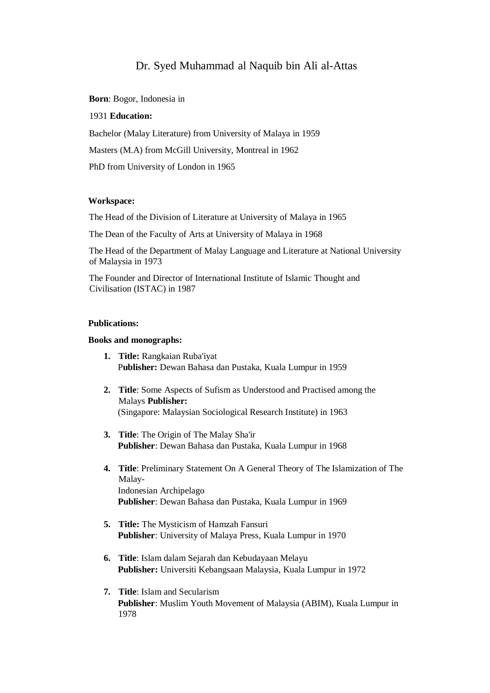# Dr. Syed Muhammad al Naquib bin Ali al-Attas

**Born**: Bogor, Indonesia in

## 1931 **Education:**

Bachelor (Malay Literature) from University of Malaya in 1959 Masters (M.A) from McGill University, Montreal in 1962 PhD from University of London in 1965

#### **Workspace:**

The Head of the Division of Literature at University of Malaya in 1965

The Dean of the Faculty of Arts at University of Malaya in 1968

The Head of the Department of Malay Language and Literature at National University of Malaysia in 1973

The Founder and Director of International Institute of Islamic Thought and Civilisation (ISTAC) in 1987

### **Publications:**

## **Books and monographs:**

- **1. Title:** Rangkaian Ruba'iyat P**ublisher:** Dewan Bahasa dan Pustaka, Kuala Lumpur in 1959
- **2. Title**: Some Aspects of Sufism as Understood and Practised among the Malays **Publisher:** (Singapore: Malaysian Sociological Research Institute) in 1963
- **3. Title**: The Origin of The Malay Sha'ir **Publisher**: Dewan Bahasa dan Pustaka, Kuala Lumpur in 1968
- **4. Title**: Preliminary Statement On A General Theory of The Islamization of The Malay-Indonesian Archipelago **Publisher**: Dewan Bahasa dan Pustaka, Kuala Lumpur in 1969
- **5. Title:** The Mysticism of Hamzah Fansuri **Publisher**: University of Malaya Press, Kuala Lumpur in 1970
- **6. Title**: Islam dalam Sejarah dan Kebudayaan Melayu **Publisher:** Universiti Kebangsaan Malaysia, Kuala Lumpur in 1972
- **7. Title**: Islam and Secularism **Publisher**: Muslim Youth Movement of Malaysia (ABIM), Kuala Lumpur in 1978